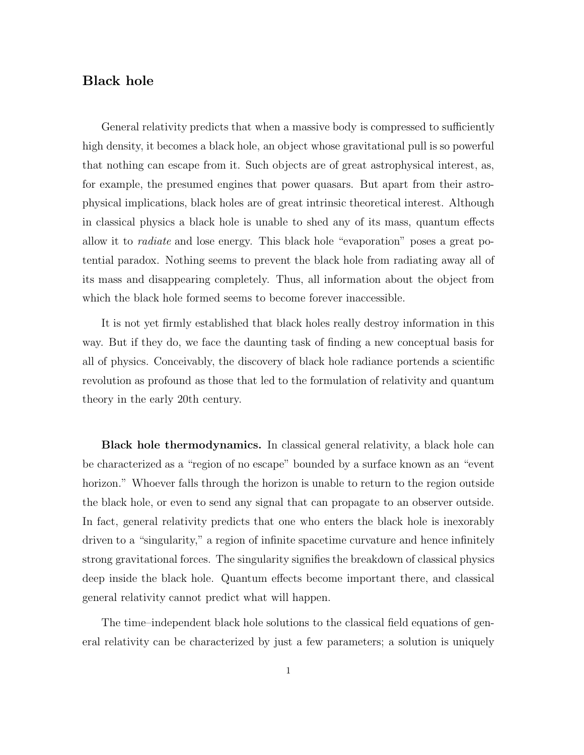## Black hole

General relativity predicts that when a massive body is compressed to sufficiently high density, it becomes a black hole, an object whose gravitational pull is so powerful that nothing can escape from it. Such objects are of great astrophysical interest, as, for example, the presumed engines that power quasars. But apart from their astrophysical implications, black holes are of great intrinsic theoretical interest. Although in classical physics a black hole is unable to shed any of its mass, quantum effects allow it to radiate and lose energy. This black hole "evaporation" poses a great potential paradox. Nothing seems to prevent the black hole from radiating away all of its mass and disappearing completely. Thus, all information about the object from which the black hole formed seems to become forever inaccessible.

It is not yet firmly established that black holes really destroy information in this way. But if they do, we face the daunting task of finding a new conceptual basis for all of physics. Conceivably, the discovery of black hole radiance portends a scientific revolution as profound as those that led to the formulation of relativity and quantum theory in the early 20th century.

Black hole thermodynamics. In classical general relativity, a black hole can be characterized as a "region of no escape" bounded by a surface known as an "event horizon." Whoever falls through the horizon is unable to return to the region outside the black hole, or even to send any signal that can propagate to an observer outside. In fact, general relativity predicts that one who enters the black hole is inexorably driven to a "singularity," a region of infinite spacetime curvature and hence infinitely strong gravitational forces. The singularity signifies the breakdown of classical physics deep inside the black hole. Quantum effects become important there, and classical general relativity cannot predict what will happen.

The time–independent black hole solutions to the classical field equations of general relativity can be characterized by just a few parameters; a solution is uniquely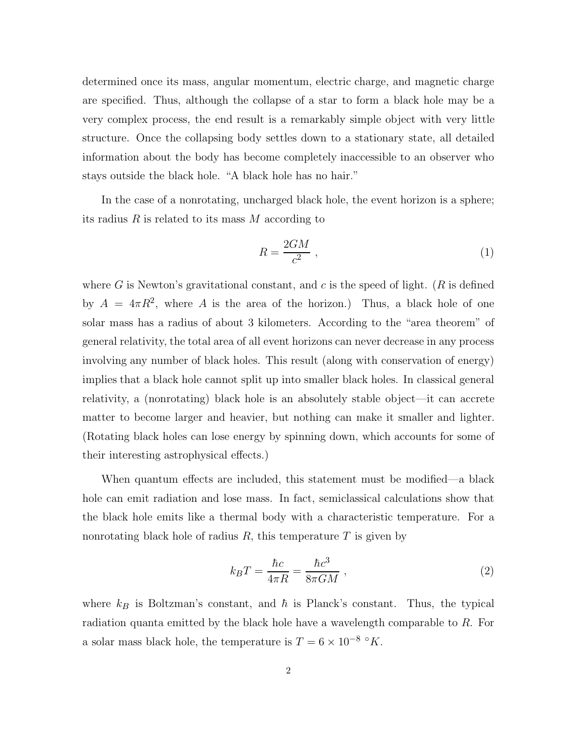determined once its mass, angular momentum, electric charge, and magnetic charge are specified. Thus, although the collapse of a star to form a black hole may be a very complex process, the end result is a remarkably simple object with very little structure. Once the collapsing body settles down to a stationary state, all detailed information about the body has become completely inaccessible to an observer who stays outside the black hole. "A black hole has no hair."

In the case of a nonrotating, uncharged black hole, the event horizon is a sphere; its radius  $R$  is related to its mass  $M$  according to

$$
R = \frac{2GM}{c^2} \,,\tag{1}
$$

where G is Newton's gravitational constant, and c is the speed of light. ( $R$  is defined by  $A = 4\pi R^2$ , where A is the area of the horizon.) Thus, a black hole of one solar mass has a radius of about 3 kilometers. According to the "area theorem" of general relativity, the total area of all event horizons can never decrease in any process involving any number of black holes. This result (along with conservation of energy) implies that a black hole cannot split up into smaller black holes. In classical general relativity, a (nonrotating) black hole is an absolutely stable object—it can accrete matter to become larger and heavier, but nothing can make it smaller and lighter. (Rotating black holes can lose energy by spinning down, which accounts for some of their interesting astrophysical effects.)

When quantum effects are included, this statement must be modified—a black hole can emit radiation and lose mass. In fact, semiclassical calculations show that the black hole emits like a thermal body with a characteristic temperature. For a nonrotating black hole of radius  $R$ , this temperature  $T$  is given by

$$
k_B T = \frac{\hbar c}{4\pi R} = \frac{\hbar c^3}{8\pi GM} \,,\tag{2}
$$

where  $k_B$  is Boltzman's constant, and  $\hbar$  is Planck's constant. Thus, the typical radiation quanta emitted by the black hole have a wavelength comparable to R. For a solar mass black hole, the temperature is  $T = 6 \times 10^{-8} °K$ .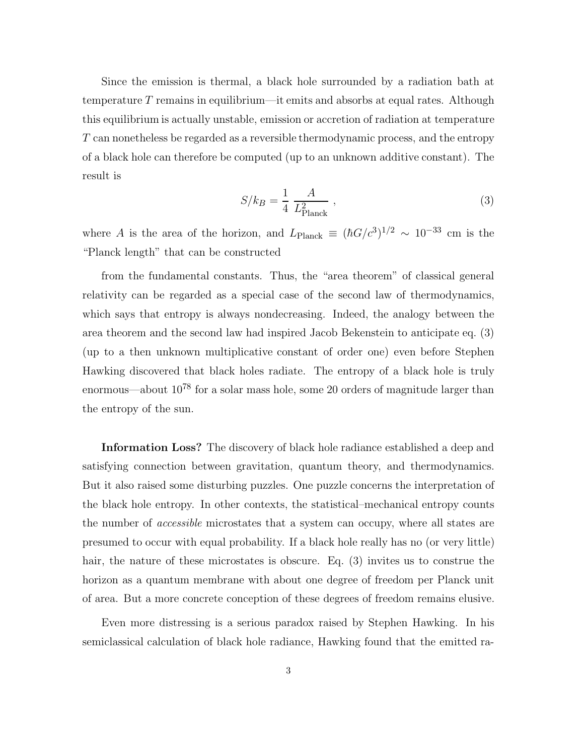Since the emission is thermal, a black hole surrounded by a radiation bath at temperature  $T$  remains in equilibrium—it emits and absorbs at equal rates. Although this equilibrium is actually unstable, emission or accretion of radiation at temperature T can nonetheless be regarded as a reversible thermodynamic process, and the entropy of a black hole can therefore be computed (up to an unknown additive constant). The result is

$$
S/k_B = \frac{1}{4} \frac{A}{L_{\text{Planck}}^2} \,, \tag{3}
$$

where A is the area of the horizon, and  $L_{\text{Planck}} \equiv (\hbar G/c^3)^{1/2} \sim 10^{-33}$  cm is the "Planck length" that can be constructed

from the fundamental constants. Thus, the "area theorem" of classical general relativity can be regarded as a special case of the second law of thermodynamics, which says that entropy is always nondecreasing. Indeed, the analogy between the area theorem and the second law had inspired Jacob Bekenstein to anticipate eq. (3) (up to a then unknown multiplicative constant of order one) even before Stephen Hawking discovered that black holes radiate. The entropy of a black hole is truly enormous—about  $10^{78}$  for a solar mass hole, some 20 orders of magnitude larger than the entropy of the sun.

Information Loss? The discovery of black hole radiance established a deep and satisfying connection between gravitation, quantum theory, and thermodynamics. But it also raised some disturbing puzzles. One puzzle concerns the interpretation of the black hole entropy. In other contexts, the statistical–mechanical entropy counts the number of accessible microstates that a system can occupy, where all states are presumed to occur with equal probability. If a black hole really has no (or very little) hair, the nature of these microstates is obscure. Eq. (3) invites us to construe the horizon as a quantum membrane with about one degree of freedom per Planck unit of area. But a more concrete conception of these degrees of freedom remains elusive.

Even more distressing is a serious paradox raised by Stephen Hawking. In his semiclassical calculation of black hole radiance, Hawking found that the emitted ra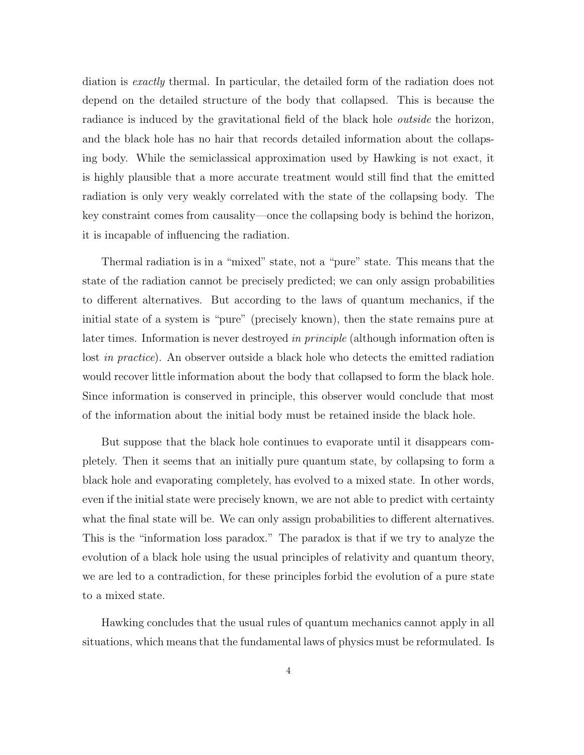diation is exactly thermal. In particular, the detailed form of the radiation does not depend on the detailed structure of the body that collapsed. This is because the radiance is induced by the gravitational field of the black hole *outside* the horizon, and the black hole has no hair that records detailed information about the collapsing body. While the semiclassical approximation used by Hawking is not exact, it is highly plausible that a more accurate treatment would still find that the emitted radiation is only very weakly correlated with the state of the collapsing body. The key constraint comes from causality—once the collapsing body is behind the horizon, it is incapable of influencing the radiation.

Thermal radiation is in a "mixed" state, not a "pure" state. This means that the state of the radiation cannot be precisely predicted; we can only assign probabilities to different alternatives. But according to the laws of quantum mechanics, if the initial state of a system is "pure" (precisely known), then the state remains pure at later times. Information is never destroyed in principle (although information often is lost in practice). An observer outside a black hole who detects the emitted radiation would recover little information about the body that collapsed to form the black hole. Since information is conserved in principle, this observer would conclude that most of the information about the initial body must be retained inside the black hole.

But suppose that the black hole continues to evaporate until it disappears completely. Then it seems that an initially pure quantum state, by collapsing to form a black hole and evaporating completely, has evolved to a mixed state. In other words, even if the initial state were precisely known, we are not able to predict with certainty what the final state will be. We can only assign probabilities to different alternatives. This is the "information loss paradox." The paradox is that if we try to analyze the evolution of a black hole using the usual principles of relativity and quantum theory, we are led to a contradiction, for these principles forbid the evolution of a pure state to a mixed state.

Hawking concludes that the usual rules of quantum mechanics cannot apply in all situations, which means that the fundamental laws of physics must be reformulated. Is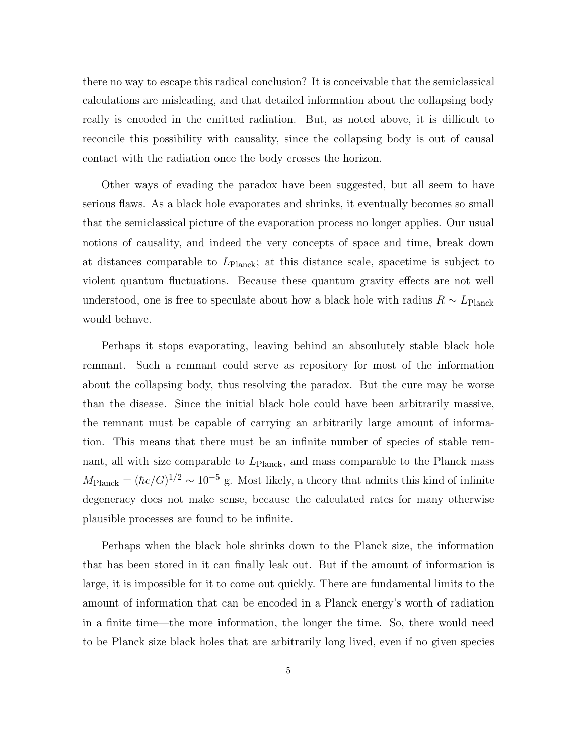there no way to escape this radical conclusion? It is conceivable that the semiclassical calculations are misleading, and that detailed information about the collapsing body really is encoded in the emitted radiation. But, as noted above, it is difficult to reconcile this possibility with causality, since the collapsing body is out of causal contact with the radiation once the body crosses the horizon.

Other ways of evading the paradox have been suggested, but all seem to have serious flaws. As a black hole evaporates and shrinks, it eventually becomes so small that the semiclassical picture of the evaporation process no longer applies. Our usual notions of causality, and indeed the very concepts of space and time, break down at distances comparable to  $L_{\text{Planck}}$ ; at this distance scale, spacetime is subject to violent quantum fluctuations. Because these quantum gravity effects are not well understood, one is free to speculate about how a black hole with radius  $R \sim L_{\rm Planck}$ would behave.

Perhaps it stops evaporating, leaving behind an absoulutely stable black hole remnant. Such a remnant could serve as repository for most of the information about the collapsing body, thus resolving the paradox. But the cure may be worse than the disease. Since the initial black hole could have been arbitrarily massive, the remnant must be capable of carrying an arbitrarily large amount of information. This means that there must be an infinite number of species of stable remnant, all with size comparable to  $L_{\text{Planck}}$ , and mass comparable to the Planck mass  $M_{\text{Planck}} = (\hbar c/G)^{1/2} \sim 10^{-5}$  g. Most likely, a theory that admits this kind of infinite degeneracy does not make sense, because the calculated rates for many otherwise plausible processes are found to be infinite.

Perhaps when the black hole shrinks down to the Planck size, the information that has been stored in it can finally leak out. But if the amount of information is large, it is impossible for it to come out quickly. There are fundamental limits to the amount of information that can be encoded in a Planck energy's worth of radiation in a finite time—the more information, the longer the time. So, there would need to be Planck size black holes that are arbitrarily long lived, even if no given species